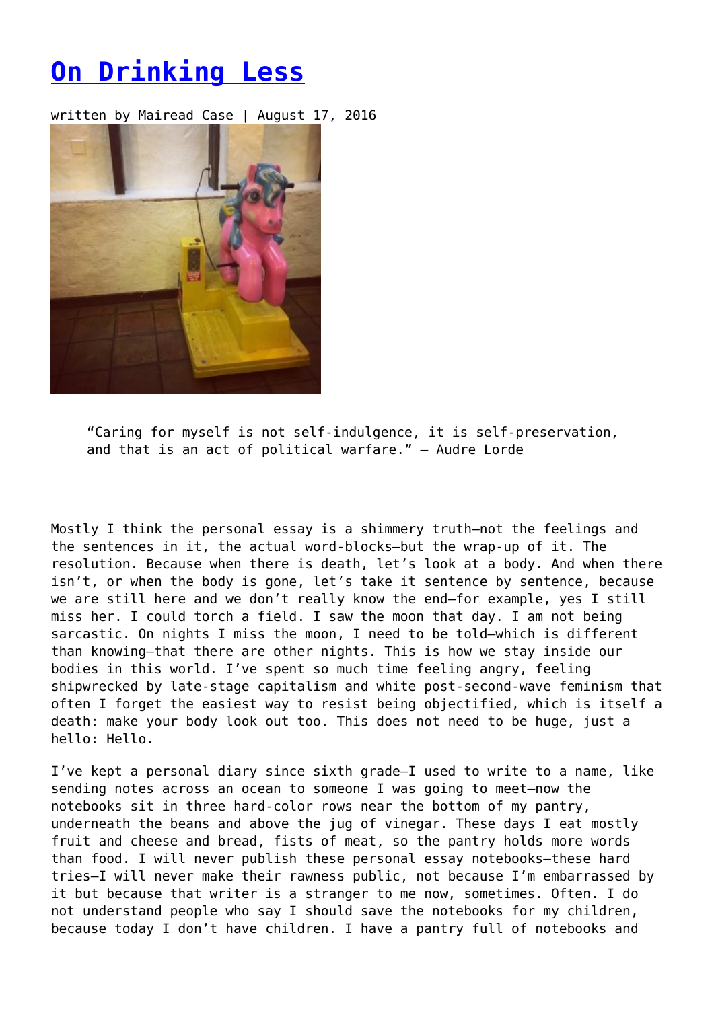## **[On Drinking Less](https://entropymag.org/on-drinking-less/)**

written by Mairead Case | August 17, 2016



"Caring for myself is not self-indulgence, it is self-preservation, and that is an act of political warfare." – Audre Lorde

Mostly I think the personal essay is a shimmery truth—not the feelings and the sentences in it, the actual word-blocks—but the wrap-up of it. The resolution. Because when there is death, let's look at a body. And when there isn't, or when the body is gone, let's take it sentence by sentence, because we are still here and we don't really know the end—for example, yes I still miss her. I could torch a field. I saw the moon that day. I am not being sarcastic. On nights I miss the moon, I need to be told—which is different than knowing—that there are other nights. This is how we stay inside our bodies in this world. I've spent so much time feeling angry, feeling shipwrecked by late-stage capitalism and white post-second-wave feminism that often I forget the easiest way to resist being objectified, which is itself a death: make your body look out too. This does not need to be huge, just a hello: Hello.

I've kept a personal diary since sixth grade—I used to write to a name, like sending notes across an ocean to someone I was going to meet—now the notebooks sit in three hard-color rows near the bottom of my pantry, underneath the beans and above the jug of vinegar. These days I eat mostly fruit and cheese and bread, fists of meat, so the pantry holds more words than food. I will never publish these personal essay notebooks—these hard tries—I will never make their rawness public, not because I'm embarrassed by it but because that writer is a stranger to me now, sometimes. Often. I do not understand people who say I should save the notebooks for my children, because today I don't have children. I have a pantry full of notebooks and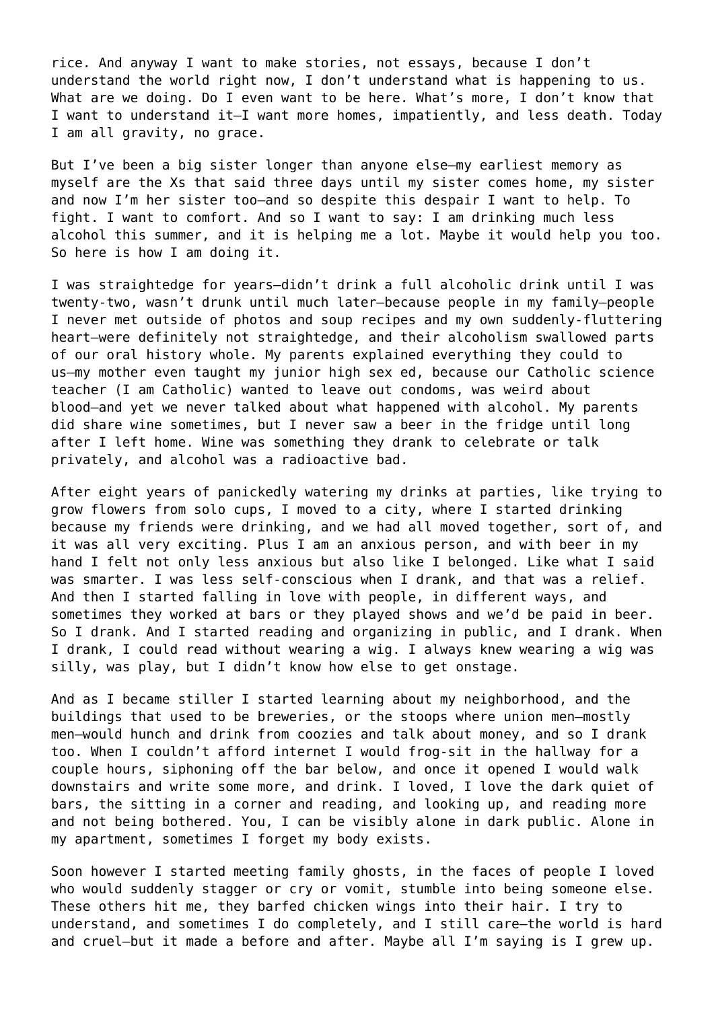rice. And anyway I want to make stories, not essays, because I don't understand the world right now, I don't understand what is happening to us. What are we doing. Do I even want to be here. What's more, I don't know that I want to understand it—I want more homes, impatiently, and less death. Today I am all gravity, no grace.

But I've been a big sister longer than anyone else—my earliest memory as myself are the Xs that said three days until my sister comes home, my sister and now I'm her sister too—and so despite this despair I want to help. To fight. I want to comfort. And so I want to say: I am drinking much less alcohol this summer, and it is helping me a lot. Maybe it would help you too. So here is how I am doing it.

I was straightedge for years—didn't drink a full alcoholic drink until I was twenty-two, wasn't drunk until much later—because people in my family—people I never met outside of photos and soup recipes and my own suddenly-fluttering heart—were definitely not straightedge, and their alcoholism swallowed parts of our oral history whole. My parents explained everything they could to us—my mother even taught my junior high sex ed, because our Catholic science teacher (I am Catholic) wanted to leave out condoms, was weird about blood—and yet we never talked about what happened with alcohol. My parents did share wine sometimes, but I never saw a beer in the fridge until long after I left home. Wine was something they drank to celebrate or talk privately, and alcohol was a radioactive bad.

After eight years of panickedly watering my drinks at parties, like trying to grow flowers from solo cups, I moved to a city, where I started drinking because my friends were drinking, and we had all moved together, sort of, and it was all very exciting. Plus I am an anxious person, and with beer in my hand I felt not only less anxious but also like I belonged. Like what I said was smarter. I was less self-conscious when I drank, and that was a relief. And then I started falling in love with people, in different ways, and sometimes they worked at bars or they played shows and we'd be paid in beer. So I drank. And I started reading and organizing in public, and I drank. When I drank, I could read without wearing a wig. I always knew wearing a wig was silly, was play, but I didn't know how else to get onstage.

And as I became stiller I started learning about my neighborhood, and the buildings that used to be breweries, or the stoops where union men—mostly men—would hunch and drink from coozies and talk about money, and so I drank too. When I couldn't afford internet I would frog-sit in the hallway for a couple hours, siphoning off the bar below, and once it opened I would walk downstairs and write some more, and drink. I loved, I love the dark quiet of bars, the sitting in a corner and reading, and looking up, and reading more and not being bothered. You, I can be visibly alone in dark public. Alone in my apartment, sometimes I forget my body exists.

Soon however I started meeting family ghosts, in the faces of people I loved who would suddenly stagger or cry or vomit, stumble into being someone else. These others hit me, they barfed chicken wings into their hair. I try to understand, and sometimes I do completely, and I still care—the world is hard and cruel—but it made a before and after. Maybe all I'm saying is I grew up.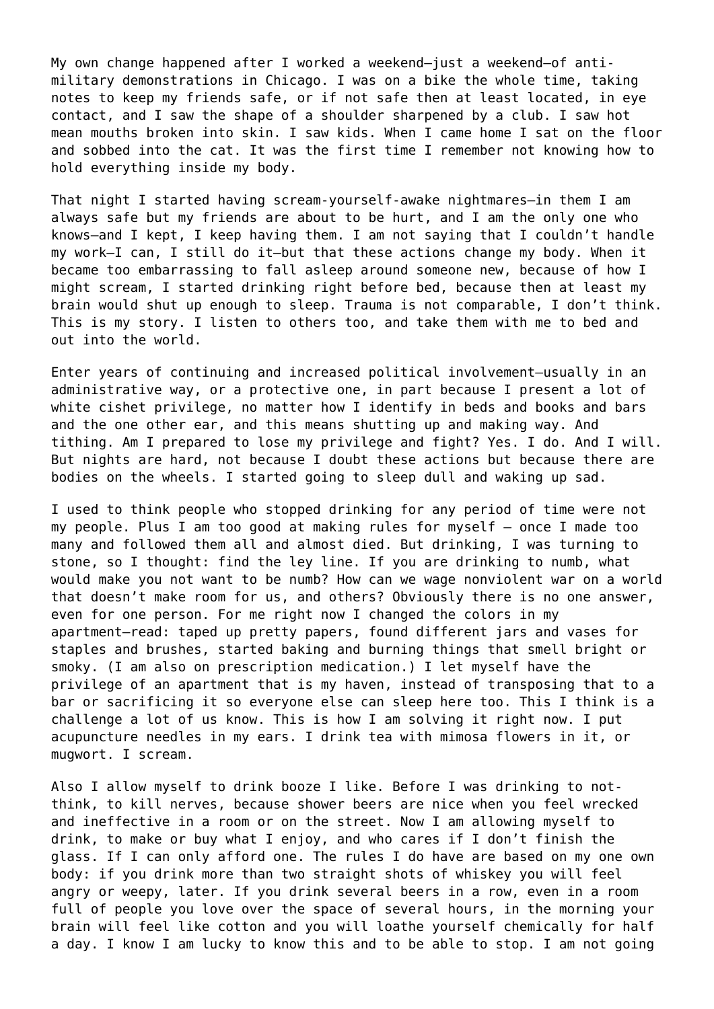My own change happened after I worked a weekend—just a weekend—of antimilitary demonstrations in Chicago. I was on a bike the whole time, taking notes to keep my friends safe, or if not safe then at least located, in eye contact, and I saw the shape of a shoulder sharpened by a club. I saw hot mean mouths broken into skin. I saw kids. When I came home I sat on the floor and sobbed into the cat. It was the first time I remember not knowing how to hold everything inside my body.

That night I started having scream-yourself-awake nightmares—in them I am always safe but my friends are about to be hurt, and I am the only one who knows—and I kept, I keep having them. I am not saying that I couldn't handle my work—I can, I still do it—but that these actions change my body. When it became too embarrassing to fall asleep around someone new, because of how I might scream, I started drinking right before bed, because then at least my brain would shut up enough to sleep. Trauma is not comparable, I don't think. This is my story. I listen to others too, and take them with me to bed and out into the world.

Enter years of continuing and increased political involvement—usually in an administrative way, or a protective one, in part because I present a lot of white cishet privilege, no matter how I identify in beds and books and bars and the one other ear, and this means shutting up and making way. And tithing. Am I prepared to lose my privilege and fight? Yes. I do. And I will. But nights are hard, not because I doubt these actions but because there are bodies on the wheels. I started going to sleep dull and waking up sad.

I used to think people who stopped drinking for any period of time were not my people. Plus I am too good at making rules for myself – once I made too many and followed them all and almost died. But drinking, I was turning to stone, so I thought: find the ley line. If you are drinking to numb, what would make you not want to be numb? How can we wage nonviolent war on a world that doesn't make room for us, and others? Obviously there is no one answer, even for one person. For me right now I changed the colors in my apartment—read: taped up pretty papers, found different jars and vases for staples and brushes, started baking and burning things that smell bright or smoky. (I am also on prescription medication.) I let myself have the privilege of an apartment that is my haven, instead of transposing that to a bar or sacrificing it so everyone else can sleep here too. This I think is a challenge a lot of us know. This is how I am solving it right now. I put acupuncture needles in my ears. I drink tea with mimosa flowers in it, or mugwort. I scream.

Also I allow myself to drink booze I like. Before I was drinking to notthink, to kill nerves, because shower beers are nice when you feel wrecked and ineffective in a room or on the street. Now I am allowing myself to drink, to make or buy what I enjoy, and who cares if I don't finish the glass. If I can only afford one. The rules I do have are based on my one own body: if you drink more than two straight shots of whiskey you will feel angry or weepy, later. If you drink several beers in a row, even in a room full of people you love over the space of several hours, in the morning your brain will feel like cotton and you will loathe yourself chemically for half a day. I know I am lucky to know this and to be able to stop. I am not going